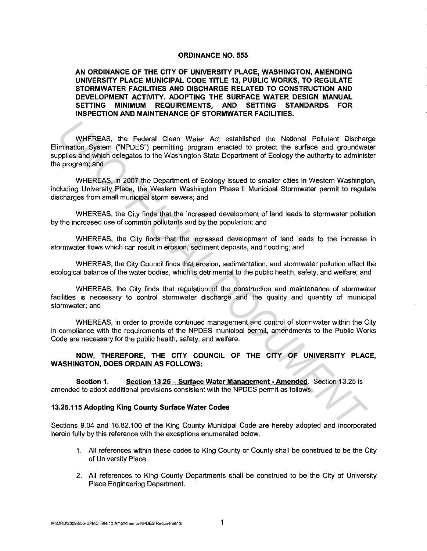## **ORDINANCE NO. 555**

**AN ORDINANCE OF THE CITY OF UNIVERSITY PLACE, WASHINGTON, AMENDING UNIVERSITY PLACE MUNICIPAL CODE TITLE 13, PUBLIC WORKS, TO REGULATE STORMWATER FACILITIES AND DISCHARGE RELATED TO CONSTRUCTION AND DEVELOPMENT ACTIVITY, ADOPTING THE SURFACE WATER DESIGN MANUAL SETTING MINIMUM REQUIREMENTS, AND SETTING STANDARDS FOR INSPECTION AND MAINTENANCE OF STORMWATER FACILITIES.** 

WHEREAS, the Federal Clean Water Act established the National Pollutant Discharge Elimination System ("NPDES") permitting program enacted to protect the surface and groundwater supplies and which delegates to the Washington State Department of Ecology the authority to administer the program; and WHEREAS, the Federal Clean Water Act established the National Pollutant Dischar<br>Immation System ("NPDES") permitting program enacted to protect the surface and groundwar<br>ppies and which delegates to the Washington State De

WHEREAS, in 2007 the Department of Ecology issued to smaller cities in Western Washington, including University Place, the Western Washington Phase II Municipal Stormwater permit to regulate discharges from small municipal storm sewers; and

WHEREAS, the City finds that the increased development of land leads to stormwater pollution by the increased use of common pollutants and by the population; and

WHEREAS, the City finds that the increased development of land leads to the increase in stormwater flows which can result in erosion, sediment deposits, and flooding; and

WHEREAS, the City Council finds that erosion, sedimentation, and stormwater pollution affect the ecological balance of the water bodies, which is detrimental to the public health, safety, and welfare; and

WHEREAS, the City finds that regulation of the construction and maintenance of stormwater facilities is necessary to control stormwater discharge and the quality and quantity of municipal stormwater; and

WHEREAS, in order to provide continued management and control of stormwater within the City in compliance with the requirements of the NPDES municipal permit, amendments to the Public Works Code are necessary for the public health, safety, and welfare.

**NOW, THEREFORE, THE CITY COUNCIL OF THE CITY OF UNIVERSITY PLACE, WASHINGTON, DOES ORDAIN AS FOLLOWS:** 

**Section 1. Section 13.25- Surface Water Management· Amended.** Section 13.25 is amended to adopt additional provisions consistent with the NPDES permit as follows:

## **13.25.115 Adopting King County Surface Water Codes**

Sections 9.04 and 16.82.100 of the King County Municipal Code are hereby adopted and incorporated herein fully by this reference with the exceptions enumerated below.

- 1. All references within these codes to King County or County shall be construed to be the City of University Place.
- 2. All references to King County Departments shall be construed to be the City of University Place Engineering Department.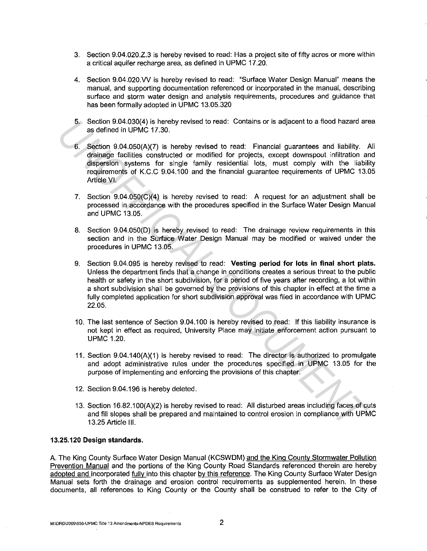- 3. Section 9.04.020.Z.3 is hereby revised to read: Has a project site of fifty acres or more within a critical aquifer recharge area, as defined in UPMC 17.20.
- 4. Section 9.04.020.VV is hereby revised to read: "Surface Water Design Manual" means the manual, and supporting documentation referenced or incorporated in the manual, describing surface and storm water design and analysis requirements, procedures and guidance that has been formally adopted in UPMC 13.05.320
- 5. Section 9.04.030(4) is hereby revised to read: Contains or is adjacent to a flood hazard area as defined in UPMC 17.30.
- 6. Section 9.04.050(A)(7) is hereby revised to read: Financial guarantees and liability. All drainage facilities constructed or modified for projects, except downspout infiltration and dispersion systems for single family residential lots, must comply with the liability requirements of K.C.C 9.04.100 and the financial guarantee requirements of UPMC 13.05 Article VI.
- 7. Section 9.04.050(C)(4) is hereby revised to read: A request for an adjustment shall be processed in accordance with the procedures specified in the Surface Water Design Manual and UPMC 13.05.
- 8. Section 9.04.050(D) is hereby revised to read: The drainage review requirements in this section and in the Surface Water Design Manual may be modified or waived under the procedures in UPMC 13.05.
- 9. Section 9.04.095 is hereby revised to read: **Vesting period for lots in final short plats.**  Unless the department finds that a change in conditions creates a serious threat to the public health or safety in the short subdivision, for a period of five years after recording, a lot within a short subdivision shall be governed by the provisions of this chapter in effect at the time a fully completed application for short subdivision approval was filed in accordance with UPMC 22.05. 5. Section 9.04.036(4) is hereby revised to read: Contains or is adjacent to a flood hazard are<br>started in UPMC 17.30.<br>**6.** Section 9.04.050(A)(7) is hereby revised to read: Financial guarantees and liability. *I*<br>drained
	- 10. The last sentence of Section 9.04.100 is hereby revised to read: If this liability insurance is not kept in effect as required, University Place may initiate enforcement action pursuant to UPMC 1.20.
	- 11. Section 9.04.140(A)(1) is hereby revised to read: The director is authorized to promulgate and adopt administrative rules under the procedures specified in UPMC 13.05 for the purpose of implementing and enforcing the provisions of this chapter.
	- 12. Section 9.04.196 is hereby deleted.
	- 13. Section 16.82.100(A)(2) is hereby revised to read: All disturbed areas including faces of cuts and fill slopes shall be prepared and maintained to control erosion in compliance with UPMC 13.25 Article Ill.

## **13.25.120 Design standards.**

A. The King County Surface Water Design Manual (KCSWDM) and the King County Stormwater Pollution Prevention Manual and the portions of the King County Road Standards referenced therein are hereby adopted and incorporated fully into this chapter by this reference. The King County Surface Water Design Manual sets forth the drainage and erosion control requirements as supplemented herein. In these documents, all references to King County or the County shall be construed to refer to the City of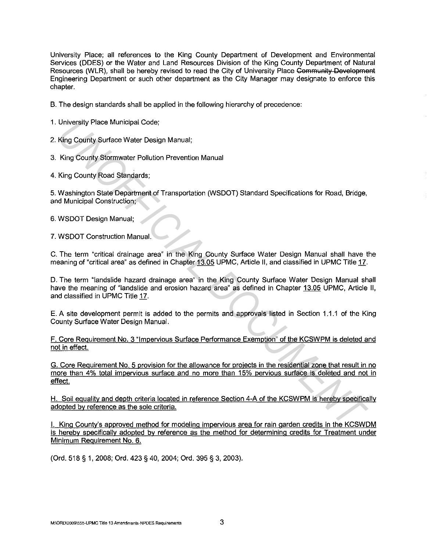University Place; all references to the King County Department of Development and Environmental Services (DDES) or the Water and Land Resources Division of the King County Department of Natural Resources (WLR), shall be hereby revised to read the City of University Place Community Development Engineering Department or such other department as the City Manager may designate to enforce this chapter.

- B. The design standards shall be applied in the following hierarchy of precedence:
- 1. University Place Municipal Code;
- 2. King County Surface Water Design Manual;
- 3. King County Stormwater Pollution Prevention Manual
- 4. King County Road Standards;

5. Washington State Department of Transportation (WSDOT) Standard Specifications for Road, Bridge, and Municipal Construction;

- 6. WSDOT Design Manual;
- 7. WSDOT Construction Manual.

C. The term "critical drainage area" in the King County Surface Water Design Manual shall have the meaning of "critical area" as defined in Chapter 13.05 UPMC, Article II, and classified in UPMC Title 17.

D. The term "landslide hazard drainage area" in the King County Surface Water Design Manual shall have the meaning of "landslide and erosion hazard area" as defined in Chapter 13.05 UPMC, Article II, and classified in UPMC Title 17. University Place Municipal Code;<br>
King County Stormwater Pollution Prevention Manual;<br>
King County Stormwater Pollution Prevention Manual<br>
King County Road Standards;<br>
Washington State Department of Transportation (WSDOT)

E. A site development permit is added to the permits and approvals listed in Section 1.1.1 of the King County Surface Water Design Manual.

F. Core Requirement No. 3 "Impervious Surface Performance Exemption" of the KCSWPM is deleted and not in effect.

G. Core Requirement No. 5 provision for the allowance for projects in the residential zone that result in no more than 4% total impervious surface and no more than 15% pervious surface is deleted and not in effect.

**H.** Soil equality and depth criteria located in reference Section 4-A of the KCSWPM is hereby specifically adopted by reference as the sole criteria.

I. King County's approved method for modeling impervious area for rain garden credits in the KCSWDM is hereby specifically adopted by reference as the method for determining credits for Treatment under Minimum Requirement No. 6.

(Ord. 518 § 1, 2008; Ord. 423 § 40, 2004; Ord. 395 § 3, 2003).